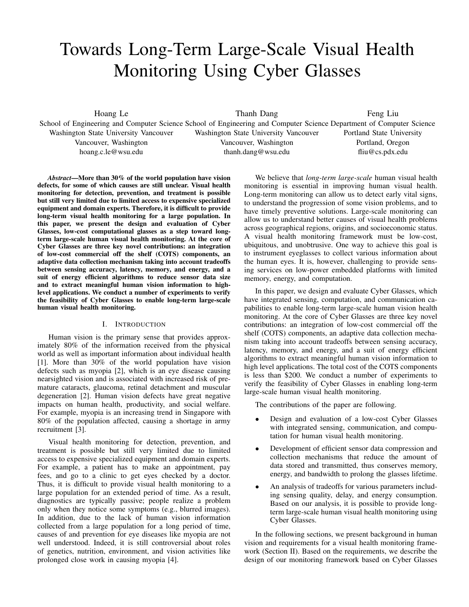# Towards Long-Term Large-Scale Visual Health Monitoring Using Cyber Glasses

Hoang Le

School of Engineering and Computer Science School of Engineering and Computer Science Department of Computer Science Washington State University Vancouver Vancouver, Washington hoang.c.le@wsu.edu

Thanh Dang

Washington State University Vancouver Vancouver, Washington thanh.dang@wsu.edu

Feng Liu Portland State University Portland, Oregon fliu@cs.pdx.edu

*Abstract*—More than 30% of the world population have vision defects, for some of which causes are still unclear. Visual health monitoring for detection, prevention, and treatment is possible but still very limited due to limited access to expensive specialized equipment and domain experts. Therefore, it is difficult to provide long-term visual health monitoring for a large population. In this paper, we present the design and evaluation of Cyber Glasses, low-cost computational glasses as a step toward longterm large-scale human visual health monitoring. At the core of Cyber Glasses are three key novel contributions: an integration of low-cost commercial off the shelf (COTS) components, an adaptive data collection mechanism taking into account tradeoffs between sensing accuracy, latency, memory, and energy, and a suit of energy efficient algorithms to reduce sensor data size and to extract meaningful human vision information to highlevel applications. We conduct a number of experiments to verify the feasibility of Cyber Glasses to enable long-term large-scale human visual health monitoring.

# I. INTRODUCTION

Human vision is the primary sense that provides approximately 80% of the information received from the physical world as well as important information about individual health [1]. More than 30% of the world population have vision defects such as myopia [2], which is an eye disease causing nearsighted vision and is associated with increased risk of premature cataracts, glaucoma, retinal detachment and muscular degeneration [2]. Human vision defects have great negative impacts on human health, productivity, and social welfare. For example, myopia is an increasing trend in Singapore with 80% of the population affected, causing a shortage in army recruitment [3].

Visual health monitoring for detection, prevention, and treatment is possible but still very limited due to limited access to expensive specialized equipment and domain experts. For example, a patient has to make an appointment, pay fees, and go to a clinic to get eyes checked by a doctor. Thus, it is difficult to provide visual health monitoring to a large population for an extended period of time. As a result, diagnostics are typically passive; people realize a problem only when they notice some symptoms (e.g., blurred images). In addition, due to the lack of human vision information collected from a large population for a long period of time, causes of and prevention for eye diseases like myopia are not well understood. Indeed, it is still controversial about roles of genetics, nutrition, environment, and vision activities like prolonged close work in causing myopia [4].

We believe that *long-term large-scale* human visual health monitoring is essential in improving human visual health. Long-term monitoring can allow us to detect early vital signs, to understand the progression of some vision problems, and to have timely preventive solutions. Large-scale monitoring can allow us to understand better causes of visual health problems across geographical regions, origins, and socioeconomic status. A visual health monitoring framework must be low-cost, ubiquitous, and unobtrusive. One way to achieve this goal is to instrument eyeglasses to collect various information about the human eyes. It is, however, challenging to provide sensing services on low-power embedded platforms with limited memory, energy, and computation.

In this paper, we design and evaluate Cyber Glasses, which have integrated sensing, computation, and communication capabilities to enable long-term large-scale human vision health monitoring. At the core of Cyber Glasses are three key novel contributions: an integration of low-cost commercial off the shelf (COTS) components, an adaptive data collection mechanism taking into account tradeoffs between sensing accuracy, latency, memory, and energy, and a suit of energy efficient algorithms to extract meaningful human vision information to high level applications. The total cost of the COTS components is less than \$200. We conduct a number of experiments to verify the feasibility of Cyber Glasses in enabling long-term large-scale human visual health monitoring.

The contributions of the paper are following.

- Design and evaluation of a low-cost Cyber Glasses with integrated sensing, communication, and computation for human visual health monitoring.
- Development of efficient sensor data compression and collection mechanisms that reduce the amount of data stored and transmitted, thus conserves memory, energy, and bandwidth to prolong the glasses lifetime.
- An analysis of tradeoffs for various parameters including sensing quality, delay, and energy consumption. Based on our analysis, it is possible to provide longterm large-scale human visual health monitoring using Cyber Glasses.

In the following sections, we present background in human vision and requirements for a visual health monitoring framework (Section II). Based on the requirements, we describe the design of our monitoring framework based on Cyber Glasses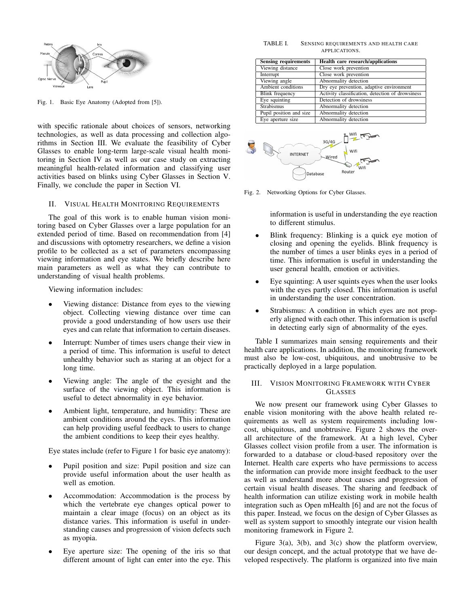

Fig. 1. Basic Eye Anatomy (Adopted from [5]).

with specific rationale about choices of sensors, networking technologies, as well as data processing and collection algorithms in Section III. We evaluate the feasibility of Cyber Glasses to enable long-term large-scale visual health monitoring in Section IV as well as our case study on extracting meaningful health-related information and classifying user activities based on blinks using Cyber Glasses in Section V. Finally, we conclude the paper in Section VI.

## II. VISUAL HEALTH MONITORING REQUIREMENTS

The goal of this work is to enable human vision monitoring based on Cyber Glasses over a large population for an extended period of time. Based on recommendation from [4] and discussions with optometry researchers, we define a vision profile to be collected as a set of parameters encompassing viewing information and eye states. We briefly describe here main parameters as well as what they can contribute to understanding of visual health problems.

Viewing information includes:

- Viewing distance: Distance from eyes to the viewing object. Collecting viewing distance over time can provide a good understanding of how users use their eyes and can relate that information to certain diseases.
- Interrupt: Number of times users change their view in a period of time. This information is useful to detect unhealthy behavior such as staring at an object for a long time.
- Viewing angle: The angle of the eyesight and the surface of the viewing object. This information is useful to detect abnormality in eye behavior.
- Ambient light, temperature, and humidity: These are ambient conditions around the eyes. This information can help providing useful feedback to users to change the ambient conditions to keep their eyes healthy.

Eye states include (refer to Figure 1 for basic eye anatomy):

- Pupil position and size: Pupil position and size can provide useful information about the user health as well as emotion.
- Accommodation: Accommodation is the process by which the vertebrate eye changes optical power to maintain a clear image (focus) on an object as its distance varies. This information is useful in understanding causes and progression of vision defects such as myopia.
- Eye aperture size: The opening of the iris so that different amount of light can enter into the eye. This

#### TABLE I. SENSING REQUIREMENTS AND HEALTH CARE APPLICATIONS.

| <b>Sensing requirements</b> | Health care research/applications                |
|-----------------------------|--------------------------------------------------|
| Viewing distance            | Close work prevention                            |
| Interrupt                   | Close work prevention                            |
| Viewing angle               | Abnormality detection                            |
| Ambient conditions          | Dry eve prevention, adaptive environment         |
| <b>Blink</b> frequency      | Activity classification, detection of drowsiness |
| Eye squinting               | Detection of drowsiness                          |
| <b>Strabismus</b>           | Abnormality detection                            |
| Pupil position and size     | Abnormality detection                            |
| Eye aperture size           | Abnormality detection                            |



Fig. 2. Networking Options for Cyber Glasses.

information is useful in understanding the eye reaction to different stimulus.

- Blink frequency: Blinking is a quick eye motion of closing and opening the eyelids. Blink frequency is the number of times a user blinks eyes in a period of time. This information is useful in understanding the user general health, emotion or activities.
- Eye squinting: A user squints eyes when the user looks with the eyes partly closed. This information is useful in understanding the user concentration.
- Strabismus: A condition in which eyes are not properly aligned with each other. This information is useful in detecting early sign of abnormality of the eyes.

Table I summarizes main sensing requirements and their health care applications. In addition, the monitoring framework must also be low-cost, ubiquitous, and unobtrusive to be practically deployed in a large population.

# III. VISION MONITORING FRAMEWORK WITH CYBER GLASSES

We now present our framework using Cyber Glasses to enable vision monitoring with the above health related requirements as well as system requirements including lowcost, ubiquitous, and unobtrusive. Figure 2 shows the overall architecture of the framework. At a high level, Cyber Glasses collect vision profile from a user. The information is forwarded to a database or cloud-based repository over the Internet. Health care experts who have permissions to access the information can provide more insight feedback to the user as well as understand more about causes and progression of certain visual health diseases. The sharing and feedback of health information can utilize existing work in mobile health integration such as Open mHealth [6] and are not the focus of this paper. Instead, we focus on the design of Cyber Glasses as well as system support to smoothly integrate our vision health monitoring framework in Figure 2.

Figure 3(a), 3(b), and 3(c) show the platform overview, our design concept, and the actual prototype that we have developed respectively. The platform is organized into five main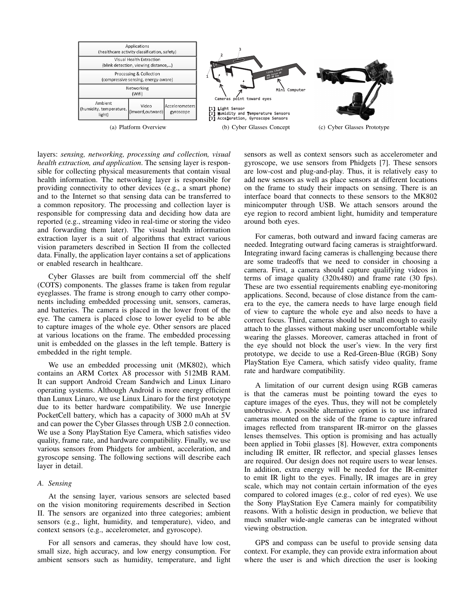

layers: *sensing, networking, processing and collection, visual health extraction, and application*. The sensing layer is responsible for collecting physical measurements that contain visual health information. The networking layer is responsible for providing connectivity to other devices (e.g., a smart phone) and to the Internet so that sensing data can be transferred to a common repository. The processing and collection layer is responsible for compressing data and deciding how data are reported (e.g., streaming video in real-time or storing the video and forwarding them later). The visual health information extraction layer is a suit of algorithms that extract various vision parameters described in Section II from the collected data. Finally, the application layer contains a set of applications or enabled research in healthcare.

Cyber Glasses are built from commercial off the shelf (COTS) components. The glasses frame is taken from regular eyeglasses. The frame is strong enough to carry other components including embedded processing unit, sensors, cameras, and batteries. The camera is placed in the lower front of the eye. The camera is placed close to lower eyelid to be able to capture images of the whole eye. Other sensors are placed at various locations on the frame. The embedded processing unit is embedded on the glasses in the left temple. Battery is embedded in the right temple.

We use an embedded processing unit (MK802), which contains an ARM Cortex A8 processor with 512MB RAM. It can support Android Cream Sandwich and Linux Linaro operating systems. Although Android is more energy efficient than Lunux Linaro, we use Linux Linaro for the first prototype due to its better hardware compatibility. We use Innergie PocketCell battery, which has a capacity of 3000 mAh at 5V and can power the Cyber Glasses through USB 2.0 connection. We use a Sony PlayStation Eye Camera, which satisfies video quality, frame rate, and hardware compatibility. Finally, we use various sensors from Phidgets for ambient, acceleration, and gyroscope sensing. The following sections will describe each layer in detail.

## *A. Sensing*

At the sensing layer, various sensors are selected based on the vision monitoring requirements described in Section II. The sensors are organized into three categories; ambient sensors (e.g., light, humidity, and temperature), video, and context sensors (e.g., accelerometer, and gyroscope).

For all sensors and cameras, they should have low cost, small size, high accuracy, and low energy consumption. For ambient sensors such as humidity, temperature, and light sensors as well as context sensors such as accelerometer and gyroscope, we use sensors from Phidgets [7]. These sensors are low-cost and plug-and-play. Thus, it is relatively easy to add new sensors as well as place sensors at different locations on the frame to study their impacts on sensing. There is an interface board that connects to these sensors to the MK802 minicomputer through USB. We attach sensors around the eye region to record ambient light, humidity and temperature around both eyes.

For cameras, both outward and inward facing cameras are needed. Integrating outward facing cameras is straightforward. Integrating inward facing cameras is challenging because there are some tradeoffs that we need to consider in choosing a camera. First, a camera should capture qualifying videos in terms of image quality (320x480) and frame rate (30 fps). These are two essential requirements enabling eye-monitoring applications. Second, because of close distance from the camera to the eye, the camera needs to have large enough field of view to capture the whole eye and also needs to have a correct focus. Third, cameras should be small enough to easily attach to the glasses without making user uncomfortable while wearing the glasses. Moreover, cameras attached in front of the eye should not block the user's view. In the very first prototype, we decide to use a Red-Green-Blue (RGB) Sony PlayStation Eye Camera, which satisfy video quality, frame rate and hardware compatibility.

A limitation of our current design using RGB cameras is that the cameras must be pointing toward the eyes to capture images of the eyes. Thus, they will not be completely unobtrusive. A possible alternative option is to use infrared cameras mounted on the side of the frame to capture infrared images reflected from transparent IR-mirror on the glasses lenses themselves. This option is promising and has actually been applied in Tobii glasses [8]. However, extra components including IR emitter, IR reflector, and special glasses lenses are required. Our design does not require users to wear lenses. In addition, extra energy will be needed for the IR-emitter to emit IR light to the eyes. Finally, IR images are in grey scale, which may not contain certain information of the eyes compared to colored images (e.g., color of red eyes). We use the Sony PlayStation Eye Camera mainly for compatibility reasons. With a holistic design in production, we believe that much smaller wide-angle cameras can be integrated without viewing obstruction.

GPS and compass can be useful to provide sensing data context. For example, they can provide extra information about where the user is and which direction the user is looking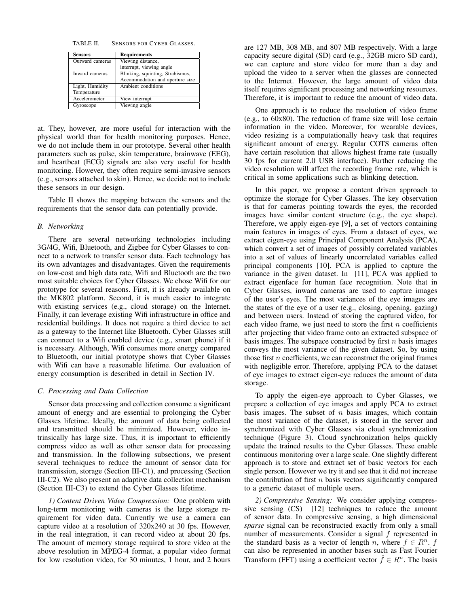TABLE II. SENSORS FOR CYBER GLASSES.

| Sensors         | <b>Requirements</b>              |  |
|-----------------|----------------------------------|--|
| Outward cameras | Viewing distance,                |  |
|                 | interrupt, viewing angle         |  |
| Inward cameras  | Blinking, squinting, Strabismus, |  |
|                 | Accommodation and aperture size  |  |
| Light, Humidity | Ambient conditions               |  |
| Temperature     |                                  |  |
| Accelerometer   | View interrupt                   |  |
| Gyroscope       | Viewing angle                    |  |

at. They, however, are more useful for interaction with the physical world than for health monitoring purposes. Hence, we do not include them in our prototype. Several other health parameters such as pulse, skin temperature, brainwave (EEG), and heartbeat (ECG) signals are also very useful for health monitoring. However, they often require semi-invasive sensors (e.g., sensors attached to skin). Hence, we decide not to include these sensors in our design.

Table II shows the mapping between the sensors and the requirements that the sensor data can potentially provide.

## *B. Networking*

There are several networking technologies including 3G/4G, Wifi, Bluetooth, and Zigbee for Cyber Glasses to connect to a network to transfer sensor data. Each technology has its own advantages and disadvantages. Given the requirements on low-cost and high data rate, Wifi and Bluetooth are the two most suitable choices for Cyber Glasses. We chose Wifi for our prototype for several reasons. First, it is already available on the MK802 platform. Second, it is much easier to integrate with existing services (e.g., cloud storage) on the Internet. Finally, it can leverage existing Wifi infrastructure in office and residential buildings. It does not require a third device to act as a gateway to the Internet like Bluetooth. Cyber Glasses still can connect to a Wifi enabled device (e.g., smart phone) if it is necessary. Although, Wifi consumes more energy compared to Bluetooth, our initial prototype shows that Cyber Glasses with Wifi can have a reasonable lifetime. Our evaluation of energy consumption is described in detail in Section IV.

## *C. Processing and Data Collection*

Sensor data processing and collection consume a significant amount of energy and are essential to prolonging the Cyber Glasses lifetime. Ideally, the amount of data being collected and transmitted should be minimized. However, video intrinsically has large size. Thus, it is important to efficiently compress video as well as other sensor data for processing and transmission. In the following subsections, we present several techniques to reduce the amount of sensor data for transmission, storage (Section III-C1), and processing (Section III-C2). We also present an adaptive data collection mechanism (Section III-C3) to extend the Cyber Glasses lifetime.

*1) Content Driven Video Compression:* One problem with long-term monitoring with cameras is the large storage requirement for video data. Currently we use a camera can capture video at a resolution of 320x240 at 30 fps. However, in the real integration, it can record video at about 20 fps. The amount of memory storage required to store video at the above resolution in MPEG-4 format, a popular video format for low resolution video, for 30 minutes, 1 hour, and 2 hours are 127 MB, 308 MB, and 807 MB respectively. With a large capacity secure digital (SD) card (e.g., 32GB micro SD card), we can capture and store video for more than a day and upload the video to a server when the glasses are connected to the Internet. However, the large amount of video data itself requires significant processing and networking resources. Therefore, it is important to reduce the amount of video data.

One approach is to reduce the resolution of video frame (e.g., to 60x80). The reduction of frame size will lose certain information in the video. Moreover, for wearable devices, video resizing is a computationally heavy task that requires significant amount of energy. Regular COTS cameras often have certain resolution that allows highest frame rate (usually 30 fps for current 2.0 USB interface). Further reducing the video resolution will affect the recording frame rate, which is critical in some applications such as blinking detection.

In this paper, we propose a content driven approach to optimize the storage for Cyber Glasses. The key observation is that for cameras pointing towards the eyes, the recorded images have similar content structure (e.g., the eye shape). Therefore, we apply eigen-eye [9], a set of vectors containing main features in images of eyes. From a dataset of eyes, we extract eigen-eye using Principal Component Analysis (PCA), which convert a set of images of possibly correlated variables into a set of values of linearly uncorrelated variables called principal components [10]. PCA is applied to capture the variance in the given dataset. In [11], PCA was applied to extract eigenface for human face recognition. Note that in Cyber Glasses, inward cameras are used to capture images of the user's eyes. The most variances of the eye images are the states of the eye of a user (e.g., closing, opening, gazing) and between users. Instead of storing the captured video, for each video frame, we just need to store the first  $n$  coefficients after projecting that video frame onto an extracted subspace of basis images. The subspace constructed by first  $n$  basis images conveys the most variance of the given dataset. So, by using those first  $n$  coefficients, we can reconstruct the original frames with negligible error. Therefore, applying PCA to the dataset of eye images to extract eigen-eye reduces the amount of data storage.

To apply the eigen-eye approach to Cyber Glasses, we prepare a collection of eye images and apply PCA to extract basis images. The subset of  $n$  basis images, which contain the most variance of the dataset, is stored in the server and synchronized with Cyber Glasses via cloud synchronization technique (Figure 3). Cloud synchronization helps quickly update the trained results to the Cyber Glasses. These enable continuous monitoring over a large scale. One slightly different approach is to store and extract set of basic vectors for each single person. However we try it and see that it did not increase the contribution of first  $n$  basis vectors significantly compared to a generic dataset of multiple users.

*2) Compressive Sensing:* We consider applying compressive sensing (CS) [12] techniques to reduce the amount of sensor data. In compressive sensing, a high dimensional *sparse* signal can be reconstructed exactly from only a small number of measurements. Consider a signal f represented in the standard basis as a vector of length n, where  $f \in R^n$ . f can also be represented in another bases such as Fast Fourier Transform (FFT) using a coefficient vector  $\hat{f} \in \mathbb{R}^n$ . The basis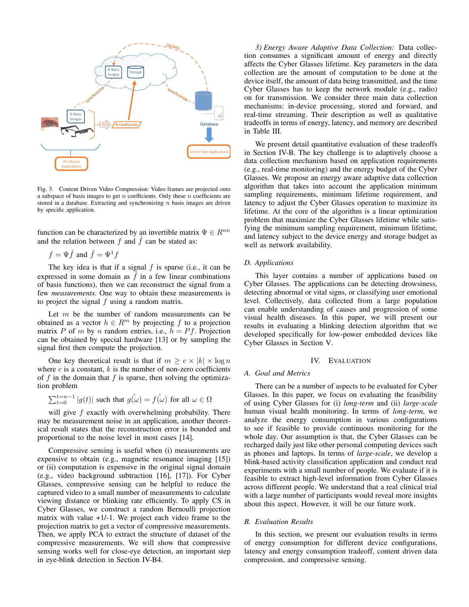

Fig. 3. Content Driven Video Compression: Video frames are projected onto a subspace of basis images to get  $n$  coefficients. Only these  $n$  coefficients are stored in a database. Extracting and synchronizing  $n$  basis images are driven by specific application.

function can be characterized by an invertible matrix  $\Psi \in R^{nn}$ and the relation between f and  $\hat{f}$  can be stated as:

$$
f = \Psi \hat{f}
$$
 and  $\hat{f} = \Psi^1 f$ 

The key idea is that if a signal  $f$  is sparse (i.e., it can be expressed in some domain as  $\hat{f}$  in a few linear combinations of basis functions), then we can reconstruct the signal from a few *measurements*. One way to obtain these measurements is to project the signal  $f$  using a random matrix.

Let  $m$  be the number of random measurements can be obtained as a vector  $h \in R^m$  by projecting f to a projection matrix P of m by n random entries, i.e.,  $h = Pf$ . Projection can be obtained by special hardware [13] or by sampling the signal first then compute the projection.

One key theoretical result is that if  $m \geq c \times |k| \times \log n$ where  $c$  is a constant,  $k$  is the number of non-zero coefficients of f in the domain that f is sparse, then solving the optimization problem

$$
\sum_{t=0}^{t=n-1} |g(t)|
$$
 such that  $g(\hat{\omega}) = f(\hat{\omega})$  for all  $\omega \in \Omega$ 

will give  $f$  exactly with overwhelming probability. There may be measurement noise in an application, another theoretical result states that the reconstruction error is bounded and proportional to the noise level in most cases [14].

Compressive sensing is useful when (i) measurements are expensive to obtain (e.g., magnetic resonance imaging [15]) or (ii) computation is expensive in the original signal domain (e.g., video background subtraction [16], [17]). For Cyber Glasses, compressive sensing can be helpful to reduce the captured video to a small number of measurements to calculate viewing distance or blinking rate efficiently. To apply CS in Cyber Glasses, we construct a random Bernoulli projection matrix with value +1/-1. We project each video frame to the projection matrix to get a vector of compressive measurements. Then, we apply PCA to extract the structure of dataset of the compressive measurements. We will show that compressive sensing works well for close-eye detection, an important step in eye-blink detection in Section IV-B4.

*3) Energy Aware Adaptive Data Collection:* Data collection consumes a significant amount of energy and directly affects the Cyber Glasses lifetime. Key parameters in the data collection are the amount of computation to be done at the device itself, the amount of data being transmitted, and the time Cyber Glasses has to keep the network module (e.g., radio) on for transmission. We consider three main data collection mechanisms: in-device processing, stored and forward, and real-time streaming. Their description as well as qualitative tradeoffs in terms of energy, latency, and memory are described in Table III.

We present detail quantitative evaluation of these tradeoffs in Section IV-B. The key challenge is to adaptively choose a data collection mechanism based on application requirements (e.g., real-time monitoring) and the energy budget of the Cyber Glasses. We propose an energy aware adaptive data collection algorithm that takes into account the application minimum sampling requirements, minimum lifetime requirement, and latency to adjust the Cyber Glasses operation to maximize its lifetime. At the core of the algorithm is a linear optimization problem that maximize the Cyber Glasses lifetime while satisfying the minimum sampling requirement, minimum lifetime, and latency subject to the device energy and storage budget as well as network availability.

#### *D. Applications*

This layer contains a number of applications based on Cyber Glasses. The applications can be detecting drowsiness, detecting abnormal or vital signs, or classifying user emotional level. Collectively, data collected from a large population can enable understanding of causes and progression of some visual health diseases. In this paper, we will present our results in evaluating a blinking detection algorithm that we developed specifically for low-power embedded devices like Cyber Glasses in Section V.

## IV. EVALUATION

## *A. Goal and Metrics*

There can be a number of aspects to be evaluated for Cyber Glasses. In this paper, we focus on evaluating the feasibility of using Cyber Glasses for (i) *long-term* and (ii) *large-scale* human visual health monitoring. In terms of *long-term*, we analyze the energy consumption in various configurations to see if feasible to provide continuous monitoring for the whole day. Our assumption is that, the Cyber Glasses can be recharged daily just like other personal computing devices such as phones and laptops. In terms of *large-scale*, we develop a blink-based activity classification application and conduct real experiments with a small number of people. We evaluate if it is feasible to extract high-level information from Cyber Glasses across different people. We understand that a real clinical trial with a large number of participants would reveal more insights about this aspect. However, it will be our future work.

### *B. Evaluation Results*

In this section, we present our evaluation results in terms of energy consumption for different device configurations, latency and energy consumption tradeoff, content driven data compression, and compressive sensing.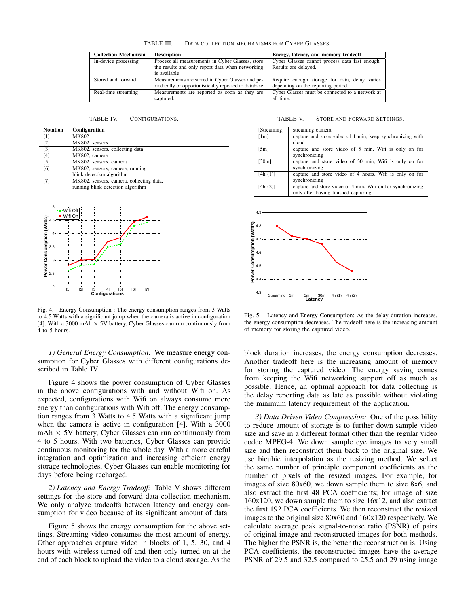TABLE III. DATA COLLECTION MECHANISMS FOR CYBER GLASSES.

| <b>Collection Mechanism</b> | <b>Description</b>                                   | Energy, latency, and memory tradeoff            |  |  |
|-----------------------------|------------------------------------------------------|-------------------------------------------------|--|--|
| In-device processing        | Process all measurements in Cyber Glasses, store     | Cyber Glasses cannot process data fast enough.  |  |  |
|                             | the results and only report data when networking     | Results are delayed.                            |  |  |
|                             | is available                                         |                                                 |  |  |
| Stored and forward          | Measurements are stored in Cyber Glasses and pe-     | Require enough storage for data, delay varies   |  |  |
|                             | riodically or opportunistically reported to database | depending on the reporting period.              |  |  |
| Real-time streaming         | Measurements are reported as soon as they are        | Cyber Glasses must be connected to a network at |  |  |
|                             | captured.                                            | all time.                                       |  |  |

| <b>Notation</b>   | Configuration                            |
|-------------------|------------------------------------------|
| [1]               | <b>MK802</b>                             |
| $\lceil 2 \rceil$ | MK802, sensors                           |
| $\lceil 3 \rceil$ | MK802, sensors, collecting data          |
| [4]               | MK802, camera                            |
| $\lceil 5 \rceil$ | MK802, sensors, camera                   |
| [6]               | MK802, sensors, camera, running          |
|                   | blink detection algorithm                |
| [7]               | MK802, sensors, camera, collecting data, |
|                   | running blink detection algorithm        |



Fig. 4. Energy Consumption : The energy consumption ranges from 3 Watts to 4.5 Watts with a significant jump when the camera is active in configuration [4]. With a 3000 mAh  $\times$  5V battery, Cyber Glasses can run continuously from 4 to 5 hours.

*1) General Energy Consumption:* We measure energy consumption for Cyber Glasses with different configurations described in Table IV.

Figure 4 shows the power consumption of Cyber Glasses in the above configurations with and without Wifi on. As expected, configurations with Wifi on always consume more energy than configurations with Wifi off. The energy consumption ranges from 3 Watts to 4.5 Watts with a significant jump when the camera is active in configuration [4]. With a 3000  $mAh \times 5V$  battery, Cyber Glasses can run continuously from 4 to 5 hours. With two batteries, Cyber Glasses can provide continuous monitoring for the whole day. With a more careful integration and optimization and increasing efficient energy storage technologies, Cyber Glasses can enable monitoring for days before being recharged.

*2) Latency and Energy Tradeoff:* Table V shows different settings for the store and forward data collection mechanism. We only analyze tradeoffs between latency and energy consumption for video because of its significant amount of data.

Figure 5 shows the energy consumption for the above settings. Streaming video consumes the most amount of energy. Other approaches capture video in blocks of 1, 5, 30, and 4 hours with wireless turned off and then only turned on at the end of each block to upload the video to a cloud storage. As the

| [Streaming] | streaming camera                                                                                    |
|-------------|-----------------------------------------------------------------------------------------------------|
| [1m]        | capture and store video of 1 min, keep synchronizing with<br>cloud                                  |
| [5m]        | capture and store video of 5 min, Wifi is only on for<br>synchronizing                              |
| [30m]       | capture and store video of 30 min, Wifi is only on for<br>synchronizing                             |
| [4h(1)]     | capture and store video of 4 hours, Wifi is only on for<br>synchronizing                            |
| [4h(2)]     | capture and store video of 4 min, Wifi on for synchronizing<br>only after having finished capturing |



Fig. 5. Latency and Energy Consumption: As the delay duration increases, the energy consumption decreases. The tradeoff here is the increasing amount of memory for storing the captured video.

block duration increases, the energy consumption decreases. Another tradeoff here is the increasing amount of memory for storing the captured video. The energy saving comes from keeping the Wifi networking support off as much as possible. Hence, an optimal approach for data collecting is the delay reporting data as late as possible without violating the minimum latency requirement of the application.

*3) Data Driven Video Compression:* One of the possibility to reduce amount of storage is to further down sample video size and save in a different format other than the regular video codec MPEG-4. We down sample eye images to very small size and then reconstruct them back to the original size. We use bicubic interpolation as the resizing method. We select the same number of principle component coefficients as the number of pixels of the resized images. For example, for images of size 80x60, we down sample them to size 8x6, and also extract the first 48 PCA coefficients; for image of size 160x120, we down sample them to size 16x12, and also extract the first 192 PCA coefficients. We then reconstruct the resized images to the original size 80x60 and 160x120 respectively. We calculate average peak signal-to-noise ratio (PSNR) of pairs of original image and reconstructed images for both methods. The higher the PSNR is, the better the reconstruction is. Using PCA coefficients, the reconstructed images have the average PSNR of 29.5 and 32.5 compared to 25.5 and 29 using image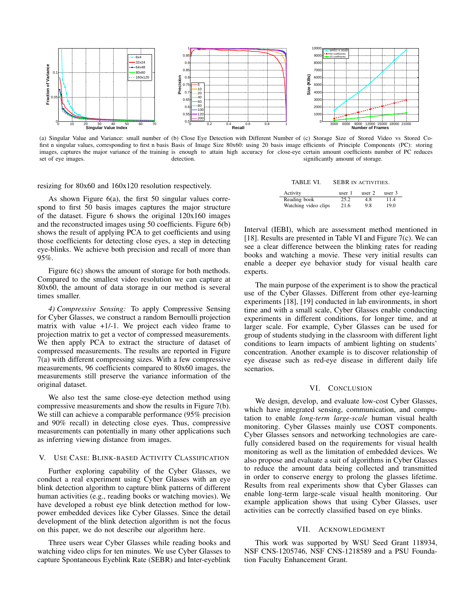

(a) Singular Value and Variance: small number of (b) Close Eye Detection with Different Number of (c) Storage Size of Stored Video vs Stored Cofirst n singular values, corresponding to first n basis Basis of Image Size 80x60: using 20 basis image efficients of Principle Components (PC): storing images, captures the major variance of the training is enough to attain high accuracy for close-eye certain amount coefficients number of PC reduces set of eye images. detection. significantly amount of storage.

resizing for 80x60 and 160x120 resolution respectively.

As shown Figure 6(a), the first 50 singular values correspond to first 50 basis images captures the major structure of the dataset. Figure 6 shows the original 120x160 images and the reconstructed images using 50 coefficients. Figure 6(b) shows the result of applying PCA to get coefficients and using those coefficients for detecting close eyes, a step in detecting eye-blinks. We achieve both precision and recall of more than 95%.

Figure 6(c) shows the amount of storage for both methods. Compared to the smallest video resolution we can capture at 80x60, the amount of data storage in our method is several times smaller.

*4) Compressive Sensing:* To apply Compressive Sensing for Cyber Glasses, we construct a random Bernoulli projection matrix with value  $+1/-1$ . We project each video frame to projection matrix to get a vector of compressed measurements. We then apply PCA to extract the structure of dataset of compressed measurements. The results are reported in Figure 7(a) with different compressing sizes. With a few compressive measurements, 96 coefficients compared to 80x60 images, the measurements still preserve the variance information of the original dataset.

We also test the same close-eye detection method using compressive measurements and show the results in Figure 7(b). We still can achieve a comparable performance (95% precision and 90% recall) in detecting close eyes. Thus, compressive measurements can potentially in many other applications such as inferring viewing distance from images.

## V. USE CASE: BLINK-BASED ACTIVITY CLASSIFICATION

Further exploring capability of the Cyber Glasses, we conduct a real experiment using Cyber Glasses with an eye blink detection algorithm to capture blink patterns of different human activities (e.g., reading books or watching movies). We have developed a robust eye blink detection method for lowpower embedded devices like Cyber Glasses. Since the detail development of the blink detection algorithm is not the focus on this paper, we do not describe our algorithm here.

Three users wear Cyber Glasses while reading books and watching video clips for ten minutes. We use Cyber Glasses to capture Spontaneous Eyeblink Rate (SEBR) and Inter-eyeblink

| TABLE VI. | <b>SEBR IN ACTIVITIES.</b> |
|-----------|----------------------------|
|           |                            |

| Activity             | user 1 | user 2 | user $3$ |
|----------------------|--------|--------|----------|
| Reading book         | 25.2   | 4.8    | 11.4     |
| Watching video clips | 21.6   | 9.8    | 19.0     |

Interval (IEBI), which are assessment method mentioned in [18]. Results are presented in Table VI and Figure 7(c). We can see a clear difference between the blinking rates for reading books and watching a movie. These very initial results can enable a deeper eye behavior study for visual health care experts.

The main purpose of the experiment is to show the practical use of the Cyber Glasses. Different from other eye-learning experiments [18], [19] conducted in lab environments, in short time and with a small scale, Cyber Glasses enable conducting experiments in different conditions, for longer time, and at larger scale. For example, Cyber Glasses can be used for group of students studying in the classroom with different light conditions to learn impacts of ambient lighting on students' concentration. Another example is to discover relationship of eye disease such as red-eye disease in different daily life scenarios.

## VI. CONCLUSION

We design, develop, and evaluate low-cost Cyber Glasses, which have integrated sensing, communication, and computation to enable *long-term large-scale* human visual health monitoring. Cyber Glasses mainly use COST components. Cyber Glasses sensors and networking technologies are carefully considered based on the requirements for visual health monitoring as well as the limitation of embedded devices. We also propose and evaluate a suit of algorithms in Cyber Glasses to reduce the amount data being collected and transmitted in order to conserve energy to prolong the glasses lifetime. Results from real experiments show that Cyber Glasses can enable long-term large-scale visual health monitoring. Our example application shows that using Cyber Glasses, user activities can be correctly classified based on eye blinks.

## VII. ACKNOWLEDGMENT

This work was supported by WSU Seed Grant 118934, NSF CNS-1205746, NSF CNS-1218589 and a PSU Foundation Faculty Enhancement Grant.